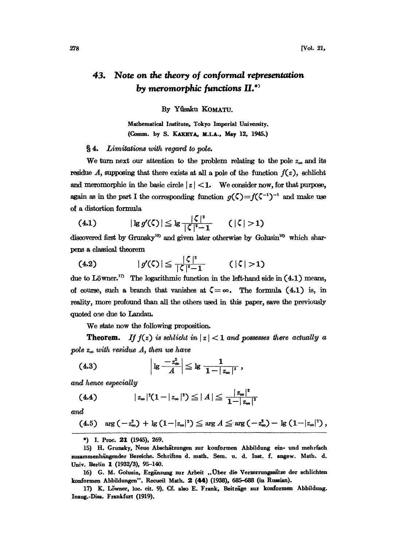## Note on the theory of conformal representation 43. by meromorphic functions  $II$ <sup>\*</sup>

By Yûsaku KOMATU.

Mathematical Institute, Tokyo Imperial University. (Comm. by S. KAKEYA, M.I.A., May 12, 1945.)

**§4.** Limitations with regard to pole.

We turn next our attention to the problem relating to the pole  $z_{\infty}$  and its residue A, supposing that there exists at all a pole of the function  $f(z)$ , schlicht and meromorphic in the basic circle  $|z| < 1$ . We consider now, for that purpose, again as in the part I the corresponding function  $g(\zeta) = f(\zeta^{-1})^{-1}$  and make use of a distortion formula

(4.1) 
$$
|\lg g'(\zeta)| \leq \lg \frac{|\zeta|^2}{|\zeta|^2 - 1} \qquad (|\zeta| > 1)
$$

discovered first by Grunsky<sup>15</sup> and given later otherwise by Golusin<sup>16</sup> which sharpens a classical theorem

 $|g'(\zeta)| \leq \frac{|\zeta|^2}{|\zeta|^2 - 1}$  (| $\zeta$ |>1)  $(4.2)$ 

due to Löwner.<sup>17</sup> The logarithmic function in the left-hand side in  $(4.1)$  means, of course, such a branch that vanishes at  $\zeta = \infty$ . The formula (4.1) is, in reality, more profound than all the others used in this paper, save the previously quoted one due to Landau.

We state now the following proposition.

**Theorem.** If  $f(z)$  is schlicht in  $|z| < 1$  and possesses there actually a pole  $z_{\infty}$  with residue A, then we have

$$
(4.3) \t\t | \lg \frac{-z_{\infty}^2}{A} | \leq \lg \frac{1}{1-|z_{\infty}|^2},
$$

and hence especially

(4.4) 
$$
|z_{\infty}|^{2}(1-|z_{\infty}|^{2}) \leq |A| \leq \frac{|z_{\infty}|^{2}}{1-|z_{\infty}|^{2}}
$$

and

$$
(4.5) \quad \arg\left(-z_{\infty}^{2}\right) + \lg\left(1-|z_{\infty}|^{2}\right) \leq \arg A \leq \arg\left(-z_{\infty}^{2}\right) - \lg\left(1-|z_{\infty}|^{2}\right),
$$

\*) I. Proc. 21 (1945), 269.

16) G. M. Golusin, Ergänzung zur Arbeit "Über die Verzerrungssätze der schlichten konformen Abbildungen". Recueil Math. 2 (44) (1938), 685-688 (in Russian).

17) K. Löwner, loc. cit. 9). Cf. also E. Frank, Beiträge zur konformen Abbildung. Inaug.-Diss. Frankfurt (1919).

<sup>15)</sup> H. Grunsky, Neue Abschätzungen zur konformen Abbildung ein- und mehrfach zusammenhängender Bereiche. Schriften d. math. Sem. u. d. Inst. f. angew. Math. d. Univ. Berlin 1 (1932/3), 95-140.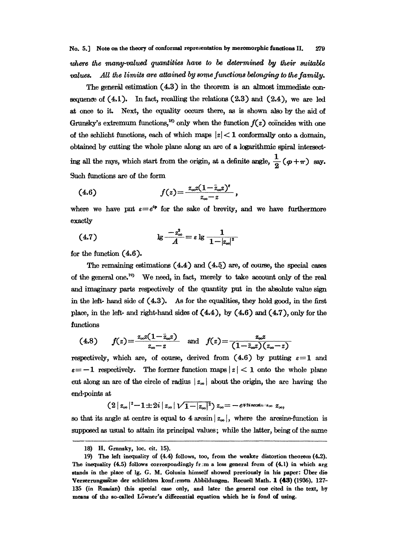The general estimation  $(4.3)$  in the theorem is an almost immediate consequence of  $(4.1)$ . In fact, recalling the relations  $(2.3)$  and  $(2.4)$ , we are led at once to it. Next, the equality occurs there, as is shown also by the aid of Grunsky's extremum functions,<sup>18</sup> only when the function  $f(z)$  coincides with one of the schlicht functions, each of which maps  $|z| < 1$  conformally onto a domain, obtained by cutting the whole plane along an are of a logarithmic spiral interseting all the rays, which start from the origin, at a definite angle,  $\frac{1}{2}(\varphi + \pi)$  say. Such functions are of the form

(4.6) 
$$
f(z) = \frac{z_{\infty}z(1-\bar{z}_{\infty}z)^{z}}{z_{\infty}-z},
$$

where we have put  $\varepsilon = e^{i\varphi}$  for the sake of brevity, and we have furthermore exactly

(4.7) 
$$
\lg \frac{-z_{\infty}^2}{A} = \varepsilon \lg \frac{1}{1-|z_{\infty}|^2}
$$
  
the function (4.6).  
The remaining estimations (4.4) and (4.5) are, of course, the special cases

for the function  $(4.6)$ .

of the general one.<sup>19</sup> We need, in fact, merely to take account only of the real and imaginary parts respectively of the quantity put in the absolute value sign in the left- hand side of (44.3). As for the equalities, they hold good, in the first place, in the left- and right-hand sides of  $(4.4)$ , by  $(4.6)$  and  $(4.7)$ , only for the functions

$$
(4.8) \t f(z) = \frac{z_{\infty}z(1-\bar{z}_{\infty}z)}{z_{\infty}-z} \text{ and } f(z) = \frac{z_{\infty}z}{(1-\bar{z}_{\infty}z)(z_{\infty}-z)}
$$

respectively, which are, of course, derived from  $(4.6)$  by putting  $\varepsilon=1$  and  $\varepsilon = -1$  respectively. The former function maps  $|z| < 1$  onto the whole plane cut along an arc of the circle of radius  $|z_{\infty}|$  about the origin, the arc having the end-points at

$$
(2|z_{\infty}|^2-1\pm 2i|z_{\infty}|\sqrt{1-|z_{\infty}|^2})\,z_{\infty}=-\,e^{\mp 2i\arccos\ln|z_{\infty}|}\,z_{\infty},
$$

so that its angle at centre is equal to 4 arcsin  $|z_{\infty}|$ , where the arcsine-function is supposed as usual to attain its principal values; while the latter, being of the same

<sup>18)</sup> H. Grnnsky, loc. cir. 15).

<sup>19)</sup> The left inequality of (4.4) follows, too, from the weaker distortion theorem (4.2). The inequality (4.5) follows correspondingly from a less general form of (4.1) in which arg stands in the place of lg. G. M. Golusin himself showed previously in his paper: Über die Verzerrungssätze der schlichten konfermen Abbildungen. Recueil Math. 1 (43) (1936), 127-135 (in Russian) this special case only, and later the general one cited in the text, by means of the so-called Löwner's differential equation which he is fond of using.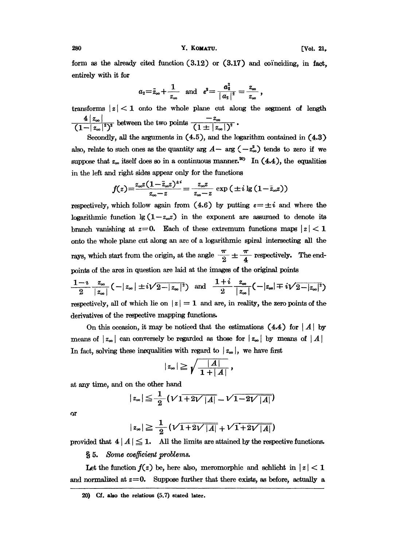280 Y. KOMATU. [Yol. 21,

form as the already cited function  $(3.12)$  or  $(3.17)$  and coinciding, in fact, entirely with it for

$$
a_2=\bar{z}_{\infty}+\frac{1}{z_{\infty}}
$$
 and  $\varepsilon^2=\frac{a_2^2}{|a_2|^2}=\frac{z_{\infty}}{z_{\infty}}$ ,

transforms  $|z| < 1$  onto the whole plane cut along the segment of length  $\frac{4|z_{\infty}|}{(1+|z_{\infty}|^2)^2}$  between the two points  $\frac{-z_{\infty}}{(1+|z_{\infty}|)^2}$ 

Secondly, all the arguments in (4.5), and the logarithm contained in (4.3) also, relate to such ones as the quantity arg  $A-$  arg  $(-z_{\infty}^2)$  tends to zero if we suppose that  $z_{\infty}$  itself does so in a continuous manner.<sup>20</sup> In (4.4), the equalities in the left and right sides appear only for the functions

$$
f(z) = \frac{z_{\infty}z(1-\bar{z}_{\infty}z)^{\pm i}}{z_{\infty}-z} = \frac{z_{\infty}z}{z_{\infty}-z} \exp\left(\pm i\lg\left(1-\bar{z}_{\infty}z\right)\right)
$$

respectively, which follow again from  $(4.6)$  by putting  $\varepsilon = \pm i$  and where the logarithmic function  $\lg(1-z_{\infty}z)$  in the exponent are assumed to denote its branch vanishing at  $z=0$ . Each of these extremum functions maps  $|z| < 1$ onto the whole plane cut along an arc of a logarithmic spiral intersecting all the rays, which start from the origin, at the angle  $\frac{\pi}{2} \pm \frac{\pi}{4}$  respectively. The end-<br>points of the arcs in question are laid at the images of the original points<br> $\frac{1-i}{2} \frac{z_{\infty}}{|z_{\infty}|} (-|z_{\infty}| \pm i\sqrt{2-|z_{\infty}|^2})$  points of the arcs in question are laid at the images of the original points

$$
\frac{1-i}{2} \frac{z_{\infty}}{|z_{\infty}|} (-|z_{\infty}| \pm i\sqrt{2-|z_{\infty}|^2}) \quad \text{and} \quad \frac{1+i}{2} \frac{z_{\infty}}{|z_{\infty}|} (-|z_{\infty}| \mp i\sqrt{2-|z_{\infty}|^2})
$$

respectively, all of which lie on  $|z| = 1$  and are, in reality, the zero points of the derivatives of the respective mapping functions.

On this occasion, it may be noticed that the estimations  $(4.4)$  for  $|A|$  by means of  $|z_{\infty}|$  can conversely be regarded as those for  $|z_{\infty}|$  by means of  $|A|$ In fact, solving these inequalities with regard to  $|z_{\infty}|$ , we have first

$$
|z_{\infty}|\geq \sqrt{\frac{|A|}{1+|A|}}\,,
$$

at any time, and on the other hand

$$
|z_{\infty}|\leqq \frac{1}{2}(V1+2V|A|-V1-2V|A|)
$$

 $\alpha$ r

$$
|z_{\infty}| \geq \frac{1}{2} \left(\sqrt{1+2\sqrt{|A|}} + \sqrt{1+2\sqrt{|A|}}\right)
$$

provided that  $4 |A| \leq 1$ . All the limits are attained by the respective functions.

§ 5. Some coefficient problems.

Let the function  $f(z)$  be, here also, meromorphic and schlicht in  $|z| < 1$ and normalized at  $z=0$ . Suppose further that there exists, as before, actually a

 $20$ ) Cf. also the relatious  $(5.7)$  stated later.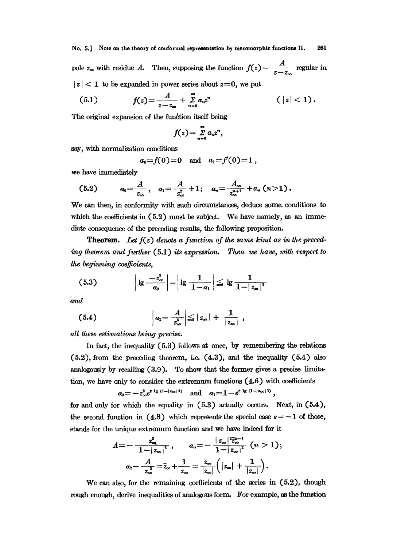pole  $z_{\infty}$  with residue A. Then, supposing the function  $f(z) - \frac{A}{z-z_{\infty}}$  regular in  $|z|$  < 1 to be expanded in power series about  $z=0$ , we put

(5.1) 
$$
f(z) = \frac{A}{z - z_{\infty}} + \sum_{n=0}^{\infty} a_n z^n
$$
  $(|z| < 1)$ 

The original expansion of the function itself being

$$
f(z)=\sum_{n=0}^{\infty}a_nz^n,
$$

say, with normalization conditions

$$
a_0=f(0)=0
$$
 and  $a_1=f'(0)=1$ ,

we have immediately

$$
(5.2) \t a_0 = \frac{A}{z_{\infty}}, \t a_1 = \frac{A}{z_{\infty}^2} + 1; \t a_n = \frac{A_{\infty}}{z_{\infty}^{n+1}} + a_n (n > 1).
$$

We can then, in conformity with such circumstances, deduce some conditions to which the coefficients in  $(5.2)$  must be subject. We have namely, as an immediate consequence of the preceding results, the following proposition.

**Theorem.** Let  $f(z)$  denote a function of the same kind as in the preceding theorem and further (5.1) its expression. Then we have, with respect to the beginning coefficients.

(5.3) 
$$
\left| \lg \frac{-z_{\infty}^2}{a_0} \right| = \left| \lg \frac{1}{1-a_1} \right| \leq \lg \frac{1}{1-|z_{\infty}|^2}
$$

and

$$
(5.4) \t\t\t |a_2-\frac{A}{z_{\infty}^3}|\leq |z_{\infty}|+\frac{1}{|z_{\infty}|},
$$

all these estimations being precise.

In fact, the inequality (5.3) follows at once, by remembering the relations  $(5.2)$ , from the preceding theorem, i.e.  $(4.3)$ , and the inequality  $(5.4)$  also analogously by recalling (3.9). To show that the former gives a precise limitation, we have only to consider the extremum functions  $(4.6)$  with coefficients

$$
\alpha_0 = -z_{\infty}^2 e^{t \lg (1-|z_{\infty}|^2)} \quad \text{and} \quad \alpha_1 = 1 - e^{t \lg (1-|z_{\infty}|^2)}.
$$

for and only for which the equality in  $(5.3)$  actually occurs. Next, in  $(5.4)$ , the second function in (4.8) which represents the special case  $\varepsilon = -1$  of those, stands for the unique extremum function and we have indeed for it

$$
A=-\frac{z_{\infty}^2}{1-|z_{\infty}|^2}, \qquad a_n=-\frac{|z_{\infty}|^{\frac{2}{2}}\overline{z_{\infty}}^{n-1}}{1-|z_{\infty}|^2} \quad (n>1);
$$

$$
a_2-\frac{A}{z_{\infty}^3}=\overline{z}_{\infty}+\frac{1}{z_{\infty}}=\frac{\overline{z}_{\infty}}{|z_{\infty}|}\left(|z_{\infty}|+\frac{1}{|z_{\infty}|}\right).
$$

We can also, for the remaining coefficients of the series in  $(5.2)$ , though rough enough, derive inequalities of analogous form. For example, as the function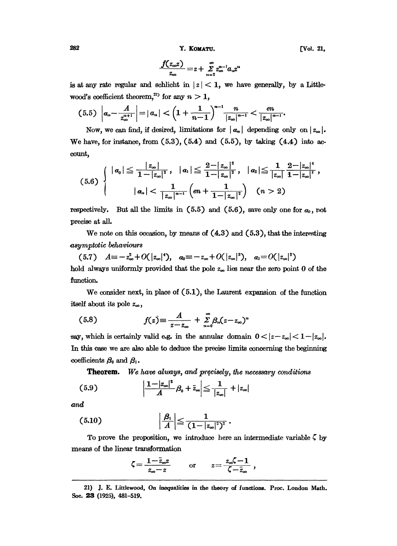282 Y. KOMATU. [Vol. 21,

$$
\frac{f(z_{\infty}z)}{z_{\infty}}=z+\sum_{n=2}^{\infty}z_{\infty}^{n-1}a_{n}z^{n}
$$

is at any rate regular and schlicht in  $|z| < 1$ , we have generally, by a Littlewood's coefficient theorem,<sup>21)</sup> for any  $n > 1$ ,

$$
(5.5) \left| a_n - \frac{A}{z_{\infty}^{n+1}} \right| = |a_n| < \left( 1 + \frac{1}{n-1} \right)^{n-1} \frac{n}{|z_{\infty}|^{n-1}} < \frac{en}{|z_{\infty}|^{n-1}}.
$$

Now, we can find, if desired, limitations for  $|a_n|$  depending only on  $|z_\infty|$ . We have, for instance, from  $(5.3)$ ,  $(5.4)$  and  $(5.5)$ , by taking  $(4.4)$  into account, count,

$$
(5.6) \left\{\n\begin{array}{c} |a_0| \leq \frac{|z_{\infty}|}{1-|z_{\infty}|^2}, \quad |a_1| \leq \frac{2-|z_{\infty}|^2}{1-|z_{\infty}|^2}, \quad |a_2| \leq \frac{1}{|z_{\infty}|}\frac{2-|z_{\infty}|^4}{1-|z_{\infty}|^2},\\ |a_n| < \frac{1}{|z_{\infty}|^{n-1}}\left(en+\frac{1}{1-|z_{\infty}|^2}\right) \quad (n > 2)\end{array}\n\right.
$$

respectively. But all the limits in  $(5.5)$  and  $(5.6)$ , save only one for  $a_0$ , not precise at all.

We note on this occasion, by means of  $(4.3)$  and  $(5.3)$ , that the interesting asymgtotic behaviours

(5.7) 
$$
A \equiv -z_{\infty}^2 + O(|z_{\infty}|^4)
$$
,  $\alpha_0 \equiv -z_{\infty} + O(|z_{\infty}|^3)$ ,  $\alpha_1 = O(|z_{\infty}|^2)$  hold always uniformly provided that the pole  $z_{\infty}$  lies near the zero point 0 of the function.

We consider next, in place of (5.1), the Laurent expansion of the function itself about its pole  $z_{\infty}$ ,

$$
(5.8) \t f(z) \equiv \frac{A}{z-z_{\infty}} + \sum_{n=0}^{\infty} \beta_n (z-z_{\infty})^n
$$

say, which is certainly valid e.g. in the annular domain  $0 < |z-z_{\infty}| < 1-|z_{\infty}|$ . In this case we are also able to deduce the precise limits concerning the beginning coefficients  $\beta_0$  and  $\beta_1$ .

**Theorem.** We have always, and precisely, the necessary conditions

$$
(5.9) \qquad \qquad \left|\frac{1-|z_{\infty}|^2}{A}\beta_0+\bar{z}_{\infty}\right|\leq \frac{1}{|z_{\infty}|}+|z_{\infty}|
$$

and

$$
(5.10) \qquad \qquad \left|\frac{\beta_1}{A}\right| \leq \frac{1}{\left(1-|z_{\infty}|^2\right)^2} \, .
$$

To prove the proposition, we introduce here an intermediate variable  $\zeta$  by means of the linear transformation

$$
\zeta = \frac{1 - \bar{z}_{\infty}z}{z_{\infty} - z} \quad \text{or} \quad z = \frac{z_{\infty}\zeta - 1}{\zeta - \bar{z}_{\infty}} \ ,
$$

<sup>21)</sup> J. E. Littlewood, On inequalities in the theory of functions. Proc. London Math. Soe. 23 (1925), 481-519.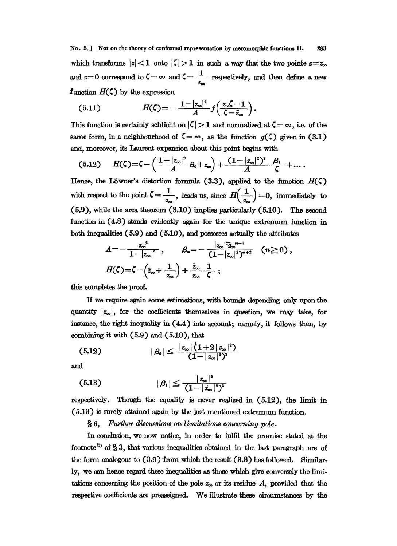No. 5.] Not on the theory of conformal representation by meromorphic functions II. 283 which transforms  $|z| < 1$  onto  $|\zeta| > 1$  in such a way that the two pointe  $z=z_{\infty}$ and  $z=0$  correspond to  $\zeta = \infty$  and  $\zeta = \frac{1}{z_{\infty}}$  respectively, and then define a new<br>function  $H(\zeta)$  by the expression

(5.11) 
$$
H(\zeta) = -\frac{1-|z_{\infty}|^2}{A} f\left(\frac{z_{\infty}\zeta-1}{\zeta-\overline{z}_{\infty}}\right).
$$

This function is certainly schlicht on  $|\zeta| > 1$  and normalized at  $\zeta = \infty$ , i.e. of the same form, in a neighbourhood of  $\zeta = \infty$ , as the function  $g(\zeta)$  given in (3.1) and, moreover, its Laurent expansion about this point begins with

$$
(5.12) \tH(\zeta) = \zeta - \left(\frac{1-|z_{\infty}|^2}{A}B_0 + z_{\infty}\right) + \frac{(1-|z_{\infty}|^2)^2}{A} \frac{\beta_1}{\zeta} + \dots
$$

Hence, the Löwner's distortion formula (3.3), applied to the function  $H(\zeta)$ with respect to the point  $\zeta = \frac{1}{1 - \zeta}$ tion formula (3.3), applied to the function  $H(\zeta)$ <br> $\frac{1}{z_{\infty}}$ , leads us, since  $H(\frac{1}{z_{\infty}})=0$ , immediately to (5.9), while the area theorem (3.10) implies particularly (5.10). The second function in  $(4.8)$  stands evidently again for the unique extremum function in both inequalities (5.9) and (5.10), and possesses actually the attributes

$$
A = -\frac{z_{\infty}^{3}}{1-|z_{\infty}|^{2}}, \qquad \beta_{n} = -\frac{|z_{\infty}|^{2} \bar{z}_{\infty}^{n-1}}{(1-|z_{\infty}|^{2})^{n+2}} \quad (n \ge 0),
$$
  

$$
H(\zeta) = \zeta - \left(\bar{z}_{\infty} + \frac{1}{z_{\infty}}\right) + \frac{\bar{z}_{\infty}}{z_{\infty}} \frac{1}{\zeta} ;
$$

completes the proof.

If we require again some estimations, with bounds depending only upon the quantity  $|z_{\infty}|$ , for the coefficients themselves in question, we may take, for instance, the right inequality in  $(4.4)$  into account; namely, it follows then, by combining it with  $(5.9)$  and  $(5.10)$ , that

$$
(5.12) \t\t |\beta_0| \leqq \frac{|z_{\infty}| (1+2 |z_{\infty}|^2)}{(1-|z_{\infty}|^2)^3}
$$

and

(5.13) 
$$
|\beta_{1}| \leq \frac{|z_{\infty}|^{2}}{(1-|z_{\infty}|^{2})^{3}}
$$

respectively. Though the equality is never realized in (5.12), the limit in (5.13) is surely attained again by the just mentioned extremum function.

 $§ 6,$  Further discussions on limitations concerning pole.

In conclusion, we now notice, in order to fulfil the promise stated at the footnote<sup>13</sup> of  $\S 3$ , that various inequalities obtained in the last paragraph are of the form analogous to  $(3.9)$  from which the result  $(3.8)$  has followed. Similarly, we can hence regard these inequalities as those which give conversely the limitations concerning the position of the pole  $z_{\infty}$  or its residue A, provided that the respective coefficients are preassigned. We illustrate these circumstances by the